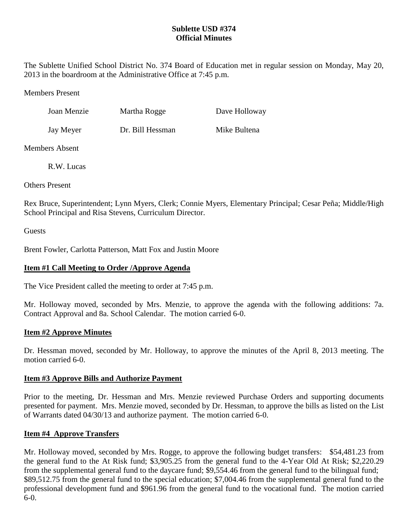# **Sublette USD #374 Official Minutes**

The Sublette Unified School District No. 374 Board of Education met in regular session on Monday, May 20, 2013 in the boardroom at the Administrative Office at 7:45 p.m.

Members Present

| Joan Menzie | Martha Rogge     | Dave Holloway |
|-------------|------------------|---------------|
| Jay Meyer   | Dr. Bill Hessman | Mike Bultena  |

Members Absent

R.W. Lucas

Others Present

Rex Bruce, Superintendent; Lynn Myers, Clerk; Connie Myers, Elementary Principal; Cesar Peña; Middle/High School Principal and Risa Stevens, Curriculum Director.

**Guests** 

Brent Fowler, Carlotta Patterson, Matt Fox and Justin Moore

# **Item #1 Call Meeting to Order /Approve Agenda**

The Vice President called the meeting to order at 7:45 p.m.

Mr. Holloway moved, seconded by Mrs. Menzie, to approve the agenda with the following additions: 7a. Contract Approval and 8a. School Calendar. The motion carried 6-0.

# **Item #2 Approve Minutes**

Dr. Hessman moved, seconded by Mr. Holloway, to approve the minutes of the April 8, 2013 meeting. The motion carried 6-0.

# **Item #3 Approve Bills and Authorize Payment**

Prior to the meeting, Dr. Hessman and Mrs. Menzie reviewed Purchase Orders and supporting documents presented for payment. Mrs. Menzie moved, seconded by Dr. Hessman, to approve the bills as listed on the List of Warrants dated 04/30/13 and authorize payment. The motion carried 6-0.

# **Item #4 Approve Transfers**

Mr. Holloway moved, seconded by Mrs. Rogge, to approve the following budget transfers: \$54,481.23 from the general fund to the At Risk fund; \$3,905.25 from the general fund to the 4-Year Old At Risk; \$2,220.29 from the supplemental general fund to the daycare fund; \$9,554.46 from the general fund to the bilingual fund; \$89,512.75 from the general fund to the special education; \$7,004.46 from the supplemental general fund to the professional development fund and \$961.96 from the general fund to the vocational fund. The motion carried 6-0.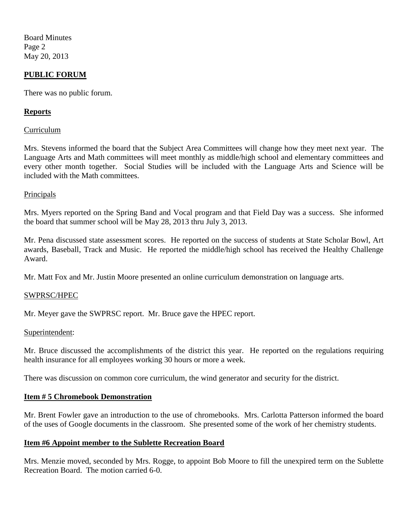Board Minutes Page 2 May 20, 2013

## **PUBLIC FORUM**

There was no public forum.

## **Reports**

### Curriculum

Mrs. Stevens informed the board that the Subject Area Committees will change how they meet next year. The Language Arts and Math committees will meet monthly as middle/high school and elementary committees and every other month together. Social Studies will be included with the Language Arts and Science will be included with the Math committees.

#### **Principals**

Mrs. Myers reported on the Spring Band and Vocal program and that Field Day was a success. She informed the board that summer school will be May 28, 2013 thru July 3, 2013.

Mr. Pena discussed state assessment scores. He reported on the success of students at State Scholar Bowl, Art awards, Baseball, Track and Music. He reported the middle/high school has received the Healthy Challenge Award.

Mr. Matt Fox and Mr. Justin Moore presented an online curriculum demonstration on language arts.

## SWPRSC/HPEC

Mr. Meyer gave the SWPRSC report. Mr. Bruce gave the HPEC report.

#### Superintendent:

Mr. Bruce discussed the accomplishments of the district this year. He reported on the regulations requiring health insurance for all employees working 30 hours or more a week.

There was discussion on common core curriculum, the wind generator and security for the district.

#### **Item # 5 Chromebook Demonstration**

Mr. Brent Fowler gave an introduction to the use of chromebooks. Mrs. Carlotta Patterson informed the board of the uses of Google documents in the classroom. She presented some of the work of her chemistry students.

## **Item #6 Appoint member to the Sublette Recreation Board**

Mrs. Menzie moved, seconded by Mrs. Rogge, to appoint Bob Moore to fill the unexpired term on the Sublette Recreation Board. The motion carried 6-0.